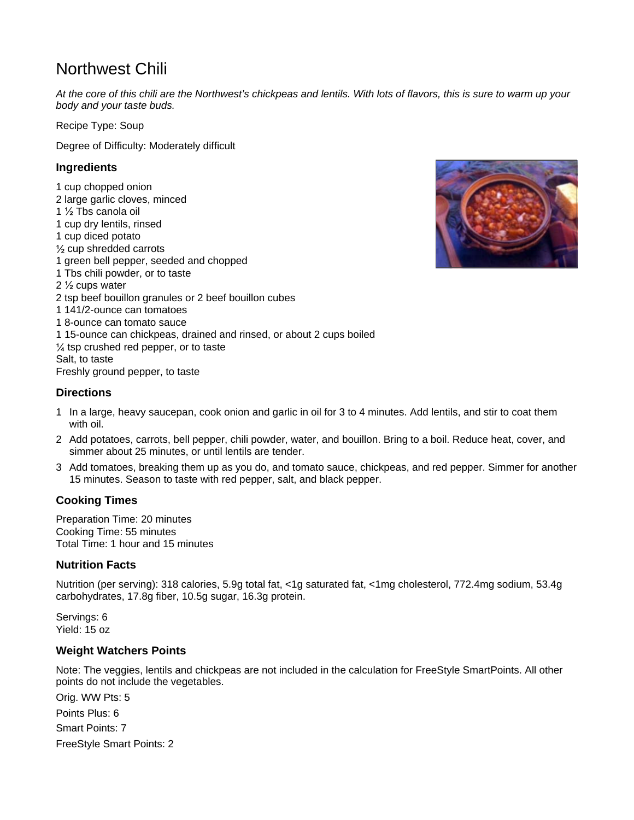# Northwest Chili

*At the core of this chili are the Northwest's chickpeas and lentils. With lots of flavors, this is sure to warm up your body and your taste buds.*

Recipe Type: Soup

Degree of Difficulty: Moderately difficult

### **Ingredients**

1 cup chopped onion 2 large garlic cloves, minced 1 ½ Tbs canola oil 1 cup dry lentils, rinsed 1 cup diced potato ½ cup shredded carrots 1 green bell pepper, seeded and chopped 1 Tbs chili powder, or to taste 2 ½ cups water 2 tsp beef bouillon granules or 2 beef bouillon cubes 1 141/2-ounce can tomatoes 1 8-ounce can tomato sauce 1 15-ounce can chickpeas, drained and rinsed, or about 2 cups boiled ¼ tsp crushed red pepper, or to taste Salt, to taste Freshly ground pepper, to taste



#### **Directions**

- 1 In a large, heavy saucepan, cook onion and garlic in oil for 3 to 4 minutes. Add lentils, and stir to coat them with oil.
- 2 Add potatoes, carrots, bell pepper, chili powder, water, and bouillon. Bring to a boil. Reduce heat, cover, and simmer about 25 minutes, or until lentils are tender.
- 3 Add tomatoes, breaking them up as you do, and tomato sauce, chickpeas, and red pepper. Simmer for another 15 minutes. Season to taste with red pepper, salt, and black pepper.

#### **Cooking Times**

Preparation Time: 20 minutes Cooking Time: 55 minutes Total Time: 1 hour and 15 minutes

#### **Nutrition Facts**

Nutrition (per serving): 318 calories, 5.9g total fat, <1g saturated fat, <1mg cholesterol, 772.4mg sodium, 53.4g carbohydrates, 17.8g fiber, 10.5g sugar, 16.3g protein.

Servings: 6 Yield: 15 oz

#### **Weight Watchers Points**

Note: The veggies, lentils and chickpeas are not included in the calculation for FreeStyle SmartPoints. All other points do not include the vegetables.

Orig. WW Pts: 5 Points Plus: 6 Smart Points: 7 FreeStyle Smart Points: 2